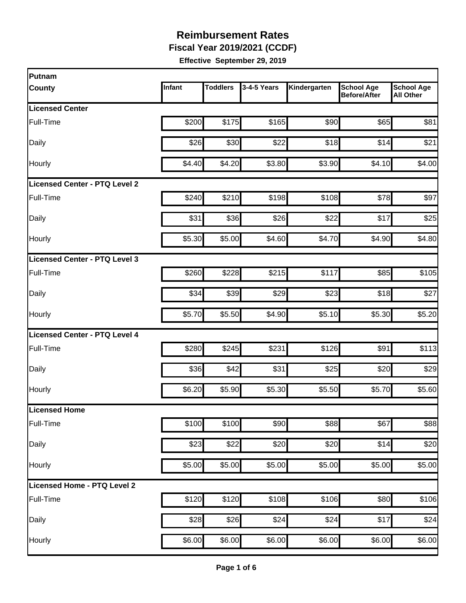**Fiscal Year 2019/2021 (CCDF)**

| <b>Putnam</b>                        |        |                 |             |              |                                          |                                       |
|--------------------------------------|--------|-----------------|-------------|--------------|------------------------------------------|---------------------------------------|
| <b>County</b>                        | Infant | <b>Toddlers</b> | 3-4-5 Years | Kindergarten | <b>School Age</b><br><b>Before/After</b> | <b>School Age</b><br><b>All Other</b> |
| <b>Licensed Center</b>               |        |                 |             |              |                                          |                                       |
| Full-Time                            | \$200  | \$175           | \$165       | \$90         | \$65                                     | \$81                                  |
| Daily                                | \$26   | \$30            | \$22        | \$18         | \$14                                     | \$21                                  |
| Hourly                               | \$4.40 | \$4.20          | \$3.80      | \$3.90       | \$4.10                                   | \$4.00                                |
| Licensed Center - PTQ Level 2        |        |                 |             |              |                                          |                                       |
| Full-Time                            | \$240  | \$210           | \$198       | \$108        | \$78                                     | \$97                                  |
| Daily                                | \$31   | \$36            | \$26        | \$22         | \$17                                     | \$25                                  |
| Hourly                               | \$5.30 | \$5.00          | \$4.60      | \$4.70       | \$4.90                                   | \$4.80                                |
| Licensed Center - PTQ Level 3        |        |                 |             |              |                                          |                                       |
| <b>Full-Time</b>                     | \$260  | \$228           | \$215       | \$117        | \$85                                     | \$105                                 |
| Daily                                | \$34   | \$39            | \$29        | \$23         | \$18                                     | \$27                                  |
| Hourly                               | \$5.70 | \$5.50          | \$4.90      | \$5.10       | \$5.30                                   | \$5.20                                |
| <b>Licensed Center - PTQ Level 4</b> |        |                 |             |              |                                          |                                       |
| Full-Time                            | \$280  | \$245           | \$231       | \$126        | \$91                                     | \$113                                 |
| Daily                                | \$36   | \$42            | \$31        | \$25         | \$20                                     | \$29                                  |
| Hourly                               | \$6.20 | \$5.90          | \$5.30      | \$5.50       | \$5.70                                   | \$5.60                                |
| Licensed Home                        |        |                 |             |              |                                          |                                       |
| Full-Time                            | \$100  | \$100           | \$90        | \$88         | \$67                                     | \$88                                  |
| Daily                                | \$23   | \$22]           | \$20        | \$20         | \$14                                     | \$20                                  |
| Hourly                               | \$5.00 | \$5.00          | \$5.00      | \$5.00       | \$5.00                                   | \$5.00                                |
| Licensed Home - PTQ Level 2          |        |                 |             |              |                                          |                                       |
| Full-Time                            | \$120  | \$120           | \$108       | \$106        | \$80                                     | \$106                                 |
| Daily                                | \$28   | \$26            | \$24        | \$24         | \$17                                     | \$24                                  |
| Hourly                               | \$6.00 | \$6.00          | \$6.00      | \$6.00       | \$6.00                                   | \$6.00                                |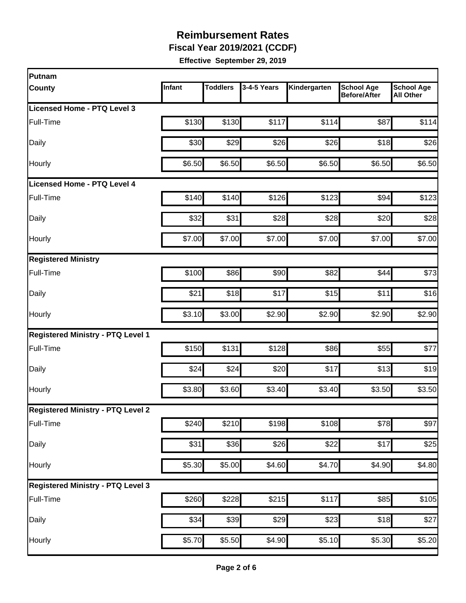**Fiscal Year 2019/2021 (CCDF)**

| Putnam                                   |        |                 |             |                    |                                          |                                       |
|------------------------------------------|--------|-----------------|-------------|--------------------|------------------------------------------|---------------------------------------|
| <b>County</b>                            | Infant | <b>Toddlers</b> | 3-4-5 Years | Kindergarten       | <b>School Age</b><br><b>Before/After</b> | <b>School Age</b><br><b>All Other</b> |
| Licensed Home - PTQ Level 3              |        |                 |             |                    |                                          |                                       |
| Full-Time                                | \$130  | \$130           | \$117       | \$114              | \$87                                     | \$114                                 |
| Daily                                    | \$30   | \$29            | \$26        | \$26               | \$18                                     | \$26                                  |
| Hourly                                   | \$6.50 | \$6.50          | \$6.50      | \$6.50             | \$6.50                                   | \$6.50                                |
| <b>Licensed Home - PTQ Level 4</b>       |        |                 |             |                    |                                          |                                       |
| Full-Time                                | \$140  | \$140           | \$126       | \$123              | \$94                                     | \$123                                 |
| Daily                                    | \$32   | \$31            | \$28        | \$28               | \$20                                     | \$28                                  |
| Hourly                                   | \$7.00 | \$7.00          | \$7.00      | \$7.00             | \$7.00                                   | \$7.00                                |
| <b>Registered Ministry</b>               |        |                 |             |                    |                                          |                                       |
| Full-Time                                | \$100  | \$86            | \$90        | \$82               | \$44                                     | \$73                                  |
| Daily                                    | \$21   | \$18            | \$17        | \$15               | \$11                                     | \$16                                  |
| Hourly                                   | \$3.10 | \$3.00          | \$2.90      | \$2.90             | \$2.90                                   | \$2.90                                |
| <b>Registered Ministry - PTQ Level 1</b> |        |                 |             |                    |                                          |                                       |
| Full-Time                                | \$150  | \$131           | \$128       | \$86               | \$55                                     | \$77                                  |
| Daily                                    | \$24   | \$24            | \$20        | \$17               | \$13                                     | \$19                                  |
| Hourly                                   | \$3.80 | \$3.60          | \$3.40]     | \$3.40             | \$3.50                                   | \$3.50                                |
| <b>Registered Ministry - PTQ Level 2</b> |        |                 |             |                    |                                          |                                       |
| Full-Time                                | \$240  | \$210           | \$198       | \$108              | \$78                                     | \$97                                  |
| Daily                                    | \$31   | \$36            | \$26        | \$22               | \$17                                     | \$25                                  |
| Hourly                                   | \$5.30 | \$5.00          | \$4.60      | \$4.70             | \$4.90                                   | \$4.80                                |
| <b>Registered Ministry - PTQ Level 3</b> |        |                 |             |                    |                                          |                                       |
| Full-Time                                | \$260  | \$228]          | \$215       | \$117              | \$85                                     | \$105                                 |
| Daily                                    | \$34   | \$39            | \$29        | \$23               | \$18                                     | \$27                                  |
| Hourly                                   | \$5.70 | \$5.50          | \$4.90      | $\overline{$}5.10$ | \$5.30                                   | \$5.20                                |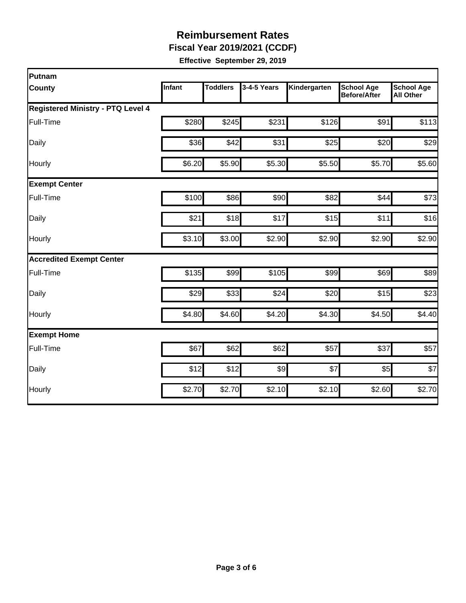**Fiscal Year 2019/2021 (CCDF)**

| Putnam                                   |        |                 |             |              |                                          |                                       |
|------------------------------------------|--------|-----------------|-------------|--------------|------------------------------------------|---------------------------------------|
| County                                   | Infant | <b>Toddlers</b> | 3-4-5 Years | Kindergarten | <b>School Age</b><br><b>Before/After</b> | <b>School Age</b><br><b>All Other</b> |
| <b>Registered Ministry - PTQ Level 4</b> |        |                 |             |              |                                          |                                       |
| Full-Time                                | \$280  | \$245           | \$231       | \$126        | \$91                                     | \$113                                 |
| Daily                                    | \$36   | \$42            | \$31        | \$25         | \$20                                     | \$29                                  |
| Hourly                                   | \$6.20 | \$5.90          | \$5.30      | \$5.50       | \$5.70                                   | \$5.60                                |
| <b>Exempt Center</b>                     |        |                 |             |              |                                          |                                       |
| Full-Time                                | \$100  | \$86            | \$90        | \$82         | \$44                                     | \$73                                  |
| Daily                                    | \$21   | \$18            | \$17        | \$15         | \$11                                     | \$16                                  |
| Hourly                                   | \$3.10 | \$3.00          | \$2.90      | \$2.90       | \$2.90                                   | \$2.90                                |
| <b>Accredited Exempt Center</b>          |        |                 |             |              |                                          |                                       |
| Full-Time                                | \$135  | \$99            | \$105       | \$99         | \$69                                     | \$89                                  |
| Daily                                    | \$29   | \$33            | \$24        | \$20         | \$15                                     | \$23                                  |
| Hourly                                   | \$4.80 | \$4.60          | \$4.20      | \$4.30       | \$4.50                                   | \$4.40                                |
| <b>Exempt Home</b>                       |        |                 |             |              |                                          |                                       |
| Full-Time                                | \$67   | \$62            | \$62        | \$57         | \$37                                     | \$57                                  |
| Daily                                    | \$12   | \$12            | 9           | \$7          | \$5                                      | \$7                                   |
| Hourly                                   | \$2.70 | \$2.70          | \$2.10      | \$2.10       | \$2.60                                   | \$2.70                                |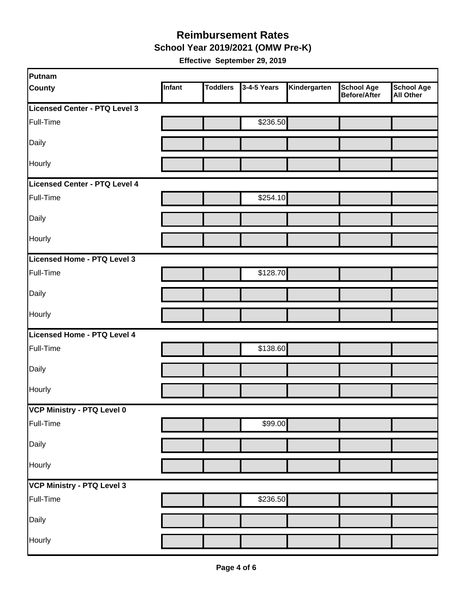**School Year 2019/2021 (OMW Pre-K)**

| Putnam                        |        |                 |             |              |                                   |                                       |
|-------------------------------|--------|-----------------|-------------|--------------|-----------------------------------|---------------------------------------|
| <b>County</b>                 | Infant | <b>Toddlers</b> | 3-4-5 Years | Kindergarten | <b>School Age</b><br>Before/After | <b>School Age</b><br><b>All Other</b> |
| Licensed Center - PTQ Level 3 |        |                 |             |              |                                   |                                       |
| Full-Time                     |        |                 | \$236.50    |              |                                   |                                       |
| Daily                         |        |                 |             |              |                                   |                                       |
| Hourly                        |        |                 |             |              |                                   |                                       |
| Licensed Center - PTQ Level 4 |        |                 |             |              |                                   |                                       |
| Full-Time                     |        |                 | \$254.10    |              |                                   |                                       |
| Daily                         |        |                 |             |              |                                   |                                       |
| Hourly                        |        |                 |             |              |                                   |                                       |
| Licensed Home - PTQ Level 3   |        |                 |             |              |                                   |                                       |
| Full-Time                     |        |                 | \$128.70    |              |                                   |                                       |
| Daily                         |        |                 |             |              |                                   |                                       |
| Hourly                        |        |                 |             |              |                                   |                                       |
| Licensed Home - PTQ Level 4   |        |                 |             |              |                                   |                                       |
| Full-Time                     |        |                 | \$138.60    |              |                                   |                                       |
| Daily                         |        |                 |             |              |                                   |                                       |
| Hourly                        |        |                 |             |              |                                   |                                       |
| VCP Ministry - PTQ Level 0    |        |                 |             |              |                                   |                                       |
| Full-Time                     |        |                 | \$99.00     |              |                                   |                                       |
| Daily                         |        |                 |             |              |                                   |                                       |
| Hourly                        |        |                 |             |              |                                   |                                       |
| VCP Ministry - PTQ Level 3    |        |                 |             |              |                                   |                                       |
| Full-Time                     |        |                 | \$236.50    |              |                                   |                                       |
| Daily                         |        |                 |             |              |                                   |                                       |
| Hourly                        |        |                 |             |              |                                   |                                       |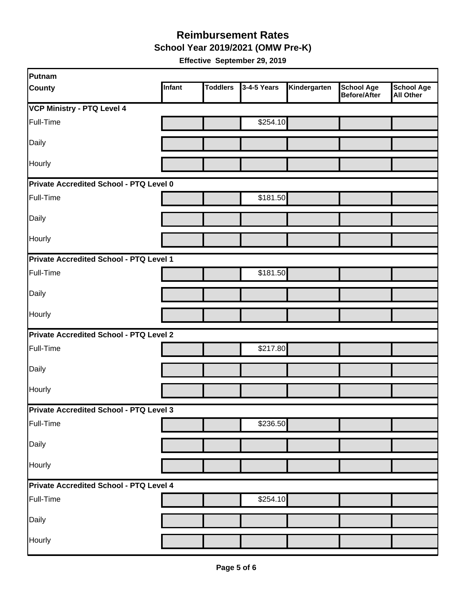**School Year 2019/2021 (OMW Pre-K)**

| Putnam                                         |        |                 |             |              |                                   |                                       |
|------------------------------------------------|--------|-----------------|-------------|--------------|-----------------------------------|---------------------------------------|
| <b>County</b>                                  | Infant | <b>Toddlers</b> | 3-4-5 Years | Kindergarten | <b>School Age</b><br>Before/After | <b>School Age</b><br><b>All Other</b> |
| <b>VCP Ministry - PTQ Level 4</b>              |        |                 |             |              |                                   |                                       |
| Full-Time                                      |        |                 | \$254.10    |              |                                   |                                       |
| Daily                                          |        |                 |             |              |                                   |                                       |
| Hourly                                         |        |                 |             |              |                                   |                                       |
| Private Accredited School - PTQ Level 0        |        |                 |             |              |                                   |                                       |
| Full-Time                                      |        |                 | \$181.50    |              |                                   |                                       |
| Daily                                          |        |                 |             |              |                                   |                                       |
| Hourly                                         |        |                 |             |              |                                   |                                       |
| Private Accredited School - PTQ Level 1        |        |                 |             |              |                                   |                                       |
| Full-Time                                      |        |                 | \$181.50    |              |                                   |                                       |
| Daily                                          |        |                 |             |              |                                   |                                       |
| Hourly                                         |        |                 |             |              |                                   |                                       |
| <b>Private Accredited School - PTQ Level 2</b> |        |                 |             |              |                                   |                                       |
| Full-Time                                      |        |                 | \$217.80    |              |                                   |                                       |
| Daily                                          |        |                 |             |              |                                   |                                       |
| Hourly                                         |        |                 |             |              |                                   |                                       |
| <b>Private Accredited School - PTQ Level 3</b> |        |                 |             |              |                                   |                                       |
| Full-Time                                      |        |                 | \$236.50    |              |                                   |                                       |
| Daily                                          |        |                 |             |              |                                   |                                       |
| Hourly                                         |        |                 |             |              |                                   |                                       |
| Private Accredited School - PTQ Level 4        |        |                 |             |              |                                   |                                       |
| Full-Time                                      |        |                 | \$254.10    |              |                                   |                                       |
| Daily                                          |        |                 |             |              |                                   |                                       |
| Hourly                                         |        |                 |             |              |                                   |                                       |